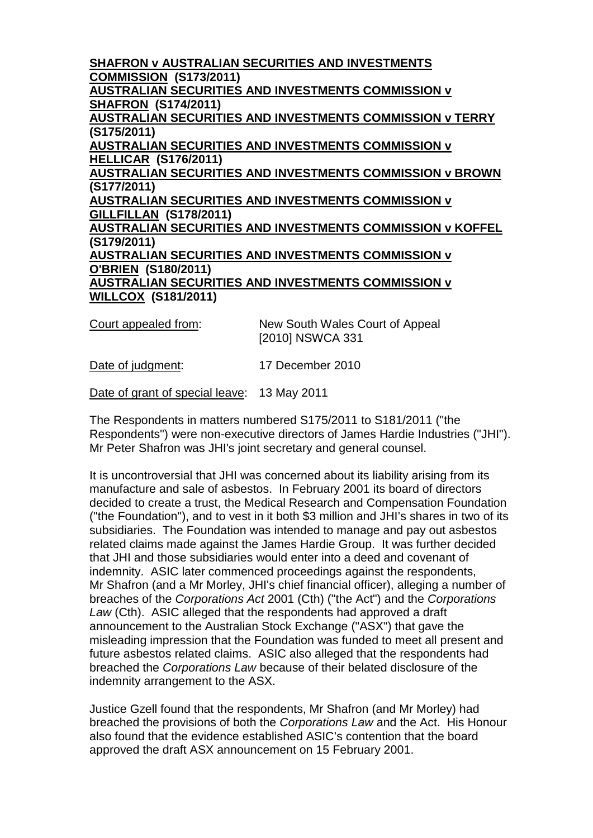**SHAFRON v AUSTRALIAN SECURITIES AND INVESTMENTS COMMISSION (S173/2011) AUSTRALIAN SECURITIES AND INVESTMENTS COMMISSION v SHAFRON (S174/2011) AUSTRALIAN SECURITIES AND INVESTMENTS COMMISSION v TERRY (S175/2011) AUSTRALIAN SECURITIES AND INVESTMENTS COMMISSION v HELLICAR (S176/2011) AUSTRALIAN SECURITIES AND INVESTMENTS COMMISSION v BROWN (S177/2011) AUSTRALIAN SECURITIES AND INVESTMENTS COMMISSION v GILLFILLAN (S178/2011) AUSTRALIAN SECURITIES AND INVESTMENTS COMMISSION v KOFFEL (S179/2011) AUSTRALIAN SECURITIES AND INVESTMENTS COMMISSION v O'BRIEN (S180/2011) AUSTRALIAN SECURITIES AND INVESTMENTS COMMISSION v WILLCOX (S181/2011)**

Court appealed from: New South Wales Court of Appeal [2010] NSWCA 331

Date of judgment: 17 December 2010

Date of grant of special leave: 13 May 2011

The Respondents in matters numbered S175/2011 to S181/2011 ("the Respondents") were non-executive directors of James Hardie Industries ("JHI"). Mr Peter Shafron was JHI's joint secretary and general counsel.

It is uncontroversial that JHI was concerned about its liability arising from its manufacture and sale of asbestos. In February 2001 its board of directors decided to create a trust, the Medical Research and Compensation Foundation ("the Foundation"), and to vest in it both \$3 million and JHI's shares in two of its subsidiaries. The Foundation was intended to manage and pay out asbestos related claims made against the James Hardie Group. It was further decided that JHI and those subsidiaries would enter into a deed and covenant of indemnity. ASIC later commenced proceedings against the respondents, Mr Shafron (and a Mr Morley, JHI's chief financial officer), alleging a number of breaches of the *Corporations Act* 2001 (Cth) ("the Act") and the *Corporations Law* (Cth). ASIC alleged that the respondents had approved a draft announcement to the Australian Stock Exchange ("ASX") that gave the misleading impression that the Foundation was funded to meet all present and future asbestos related claims. ASIC also alleged that the respondents had breached the *Corporations Law* because of their belated disclosure of the indemnity arrangement to the ASX.

Justice Gzell found that the respondents, Mr Shafron (and Mr Morley) had breached the provisions of both the *Corporations Law* and the Act. His Honour also found that the evidence established ASIC's contention that the board approved the draft ASX announcement on 15 February 2001.